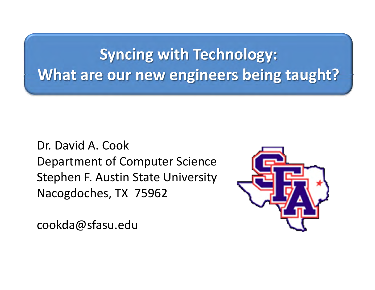# **Syncing with Technology: What are our new engineers being taught?**

Dr. David A. Cook Department of Computer Science Stephen F. Austin State University Nacogdoches, TX 75962

cookda@sfasu.edu

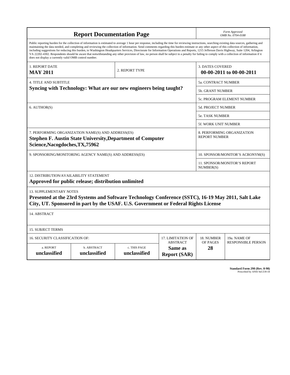| <b>Report Documentation Page</b>                                                                                                                                                                                                                                                                                                                                                                                                                                                                                                                                                                                                                                                                                                                                                                                                                                   |                             |                              |                                                   | Form Approved<br>OMB No. 0704-0188                 |                           |
|--------------------------------------------------------------------------------------------------------------------------------------------------------------------------------------------------------------------------------------------------------------------------------------------------------------------------------------------------------------------------------------------------------------------------------------------------------------------------------------------------------------------------------------------------------------------------------------------------------------------------------------------------------------------------------------------------------------------------------------------------------------------------------------------------------------------------------------------------------------------|-----------------------------|------------------------------|---------------------------------------------------|----------------------------------------------------|---------------------------|
| Public reporting burden for the collection of information is estimated to average 1 hour per response, including the time for reviewing instructions, searching existing data sources, gathering and<br>maintaining the data needed, and completing and reviewing the collection of information. Send comments regarding this burden estimate or any other aspect of this collection of information,<br>including suggestions for reducing this burden, to Washington Headquarters Services, Directorate for Information Operations and Reports, 1215 Jefferson Davis Highway, Suite 1204, Arlington<br>VA 22202-4302. Respondents should be aware that notwithstanding any other provision of law, no person shall be subject to a penalty for failing to comply with a collection of information if it<br>does not display a currently valid OMB control number. |                             |                              |                                                   |                                                    |                           |
| 1. REPORT DATE                                                                                                                                                                                                                                                                                                                                                                                                                                                                                                                                                                                                                                                                                                                                                                                                                                                     |                             |                              | <b>3. DATES COVERED</b>                           |                                                    |                           |
| <b>MAY 2011</b>                                                                                                                                                                                                                                                                                                                                                                                                                                                                                                                                                                                                                                                                                                                                                                                                                                                    |                             | 2. REPORT TYPE               |                                                   | 00-00-2011 to 00-00-2011                           |                           |
| <b>4. TITLE AND SUBTITLE</b>                                                                                                                                                                                                                                                                                                                                                                                                                                                                                                                                                                                                                                                                                                                                                                                                                                       |                             |                              |                                                   | 5a. CONTRACT NUMBER                                |                           |
| Syncing with Technology: What are our new engineers being taught?                                                                                                                                                                                                                                                                                                                                                                                                                                                                                                                                                                                                                                                                                                                                                                                                  |                             |                              |                                                   | 5b. GRANT NUMBER                                   |                           |
|                                                                                                                                                                                                                                                                                                                                                                                                                                                                                                                                                                                                                                                                                                                                                                                                                                                                    |                             |                              |                                                   | <b>5c. PROGRAM ELEMENT NUMBER</b>                  |                           |
| 6. AUTHOR(S)                                                                                                                                                                                                                                                                                                                                                                                                                                                                                                                                                                                                                                                                                                                                                                                                                                                       |                             |                              |                                                   | <b>5d. PROJECT NUMBER</b>                          |                           |
|                                                                                                                                                                                                                                                                                                                                                                                                                                                                                                                                                                                                                                                                                                                                                                                                                                                                    |                             |                              |                                                   | <b>5e. TASK NUMBER</b>                             |                           |
|                                                                                                                                                                                                                                                                                                                                                                                                                                                                                                                                                                                                                                                                                                                                                                                                                                                                    |                             |                              |                                                   | <b>5f. WORK UNIT NUMBER</b>                        |                           |
| 7. PERFORMING ORGANIZATION NAME(S) AND ADDRESS(ES)<br><b>Stephen F. Austin State University, Department of Computer</b><br>Science, Nacogdoches, TX, 75962                                                                                                                                                                                                                                                                                                                                                                                                                                                                                                                                                                                                                                                                                                         |                             |                              |                                                   | 8. PERFORMING ORGANIZATION<br><b>REPORT NUMBER</b> |                           |
| 9. SPONSORING/MONITORING AGENCY NAME(S) AND ADDRESS(ES)                                                                                                                                                                                                                                                                                                                                                                                                                                                                                                                                                                                                                                                                                                                                                                                                            |                             |                              |                                                   | 10. SPONSOR/MONITOR'S ACRONYM(S)                   |                           |
|                                                                                                                                                                                                                                                                                                                                                                                                                                                                                                                                                                                                                                                                                                                                                                                                                                                                    |                             |                              |                                                   | <b>11. SPONSOR/MONITOR'S REPORT</b><br>NUMBER(S)   |                           |
| 12. DISTRIBUTION/AVAILABILITY STATEMENT<br>Approved for public release; distribution unlimited                                                                                                                                                                                                                                                                                                                                                                                                                                                                                                                                                                                                                                                                                                                                                                     |                             |                              |                                                   |                                                    |                           |
| <b>13. SUPPLEMENTARY NOTES</b><br>Presented at the 23rd Systems and Software Technology Conference (SSTC), 16-19 May 2011, Salt Lake<br>City, UT. Sponsored in part by the USAF. U.S. Government or Federal Rights License                                                                                                                                                                                                                                                                                                                                                                                                                                                                                                                                                                                                                                         |                             |                              |                                                   |                                                    |                           |
| 14. ABSTRACT                                                                                                                                                                                                                                                                                                                                                                                                                                                                                                                                                                                                                                                                                                                                                                                                                                                       |                             |                              |                                                   |                                                    |                           |
| <b>15. SUBJECT TERMS</b>                                                                                                                                                                                                                                                                                                                                                                                                                                                                                                                                                                                                                                                                                                                                                                                                                                           |                             |                              |                                                   |                                                    |                           |
| 16. SECURITY CLASSIFICATION OF:<br>17. LIMITATION OF                                                                                                                                                                                                                                                                                                                                                                                                                                                                                                                                                                                                                                                                                                                                                                                                               |                             |                              |                                                   | 18. NUMBER                                         | 19a. NAME OF              |
| a. REPORT<br>unclassified                                                                                                                                                                                                                                                                                                                                                                                                                                                                                                                                                                                                                                                                                                                                                                                                                                          | b. ABSTRACT<br>unclassified | c. THIS PAGE<br>unclassified | <b>ABSTRACT</b><br>Same as<br><b>Report (SAR)</b> | OF PAGES<br>28                                     | <b>RESPONSIBLE PERSON</b> |

**Standard Form 298 (Rev. 8-98)**<br>Prescribed by ANSI Std Z39-18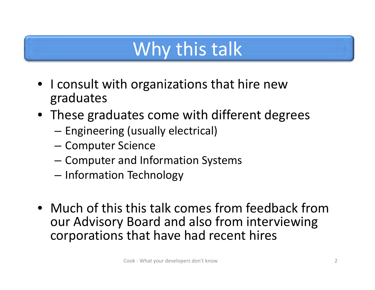# Why this talk

- I consult with organizations that hire new graduates
- These graduates come with different degrees
	- –**– Engineering (usually electrical)**
	- –— Computer Science
	- – $-$  Computer and Information Systems
	- – $-$  Information Technology
- Much of this this talk comes from feedback from our Advisory Board and also from interviewing corporations that have had recent hires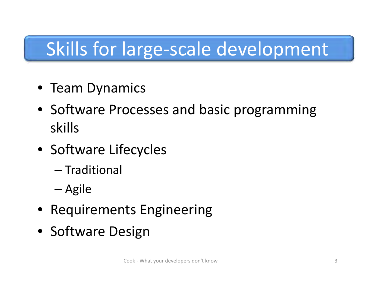# Skills for large‐scale development

- Team Dynamics
- Software Processes and basic programming skills
- Software Lifecycles
	- Traditional
	- –— Agile
- Requirements Engineering
- Software Design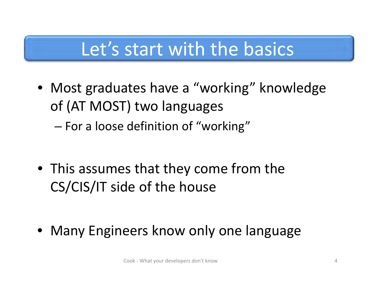## Let's start with the basics

• Most graduates have <sup>a</sup> "working" knowledge of (AT MOST) two languages  $-$  For a loose definition of "working"  $\,$ 

• This assumes that they come from the CS/CIS/IT side of the house

–

• Many Engineers know only one language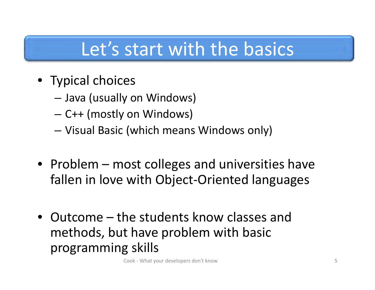# Let's start with the basics

- Typical choices
	- –Java (usually on Windows)
	- –C++ (mostly on Windows)
	- –Visual Basic (which means Windows only)
- Problem most colleges and universities have fallen in love with Object‐Oriented languages
- Outcome the students know classes and methods, but have problem with basic programming skills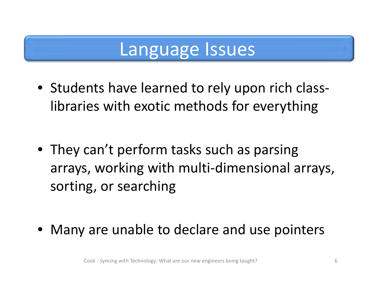## Language Issues

• Students have learned to rely upon rich class‐ libraries with exotic methods for everything

• They can't perform tasks such as parsing arrays, working with multi‐dimensional arrays, sorting, or searching

 $\bullet$ Many are unable to declare and use pointers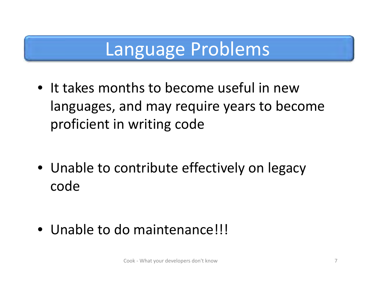# Language Problems

• It takes months to become useful in newlanguages, and may require years to become proficient in writing code

• Unable to contribute effectively on legacy code

• Unable to do maintenance!!!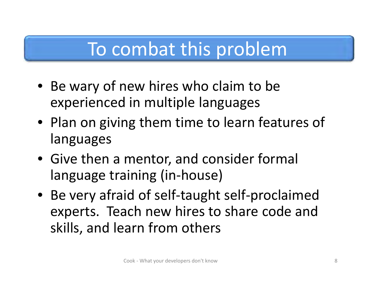# To combat this problem

- Be wary of new hires who claim to be experienced in multiple languages
- Plan on giving them time to learn features of languages
- Give then <sup>a</sup> mentor, and consider formal language training (in‐house)
- Be very afraid of self‐taught self‐proclaimed experts. Teach new hires to share code and skills, and learn from others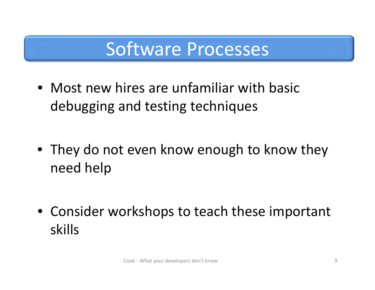## Software Processes

• Most new hires are unfamiliar with basic debugging and testing techniques

• They do not even know enough to know they need help

• Consider workshops to teach these important skills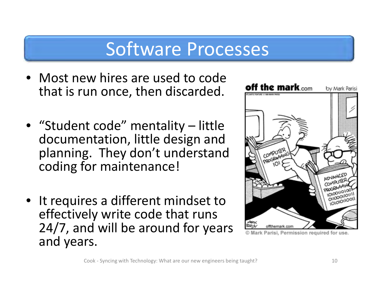## Software Processes

- Most new hires are used to code that is run once, then discarded.
- "Student code" mentality little documentation, little design and planning. They don't understand coding for maintenance!
- It requires <sup>a</sup> different mindset to effectively write code that runs 24/7, and will be around for years and years.



Parisi, Permission required for use.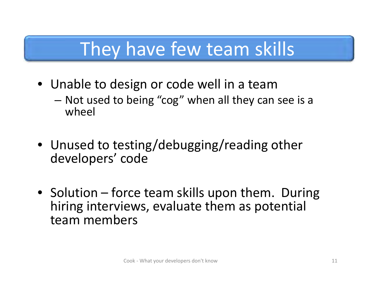# They have few team skills

- Unable to design or code well in <sup>a</sup> team
	- Not used to being "cog" when all they can see is <sup>a</sup> wheel
- Unused to testing/debugging/reading other developers' code
- Solution force team skills upon them. During hiring interviews, evaluate them as potential team members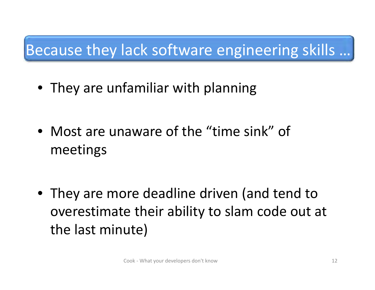#### Because they lack software engineering skills …

• They are unfamiliar with planning

• Most are unaware of the "time sink" of meetings

• They are more deadline driven (and tend to overestimate their ability to slam code out at the last minute)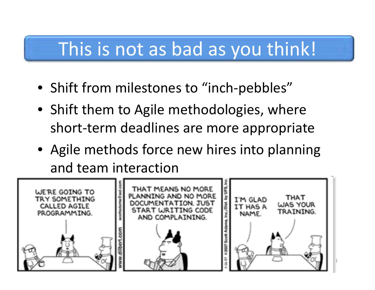# This is not as bad as you think!

- Shift from milestones to "inch‐pebbles"
- Shift them to Agile methodologies, where short‐term deadlines are more appropriate
- Agile methods force new hires into planning and team interaction

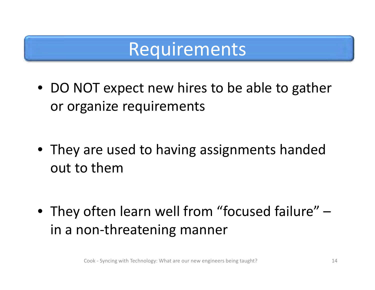## Requirements

• DO NOT expect new hires to be able to gather or organize requirements

• They are used to having assignments handed out to them

• They often learn well from "focused failure" in a non ‐threatening manner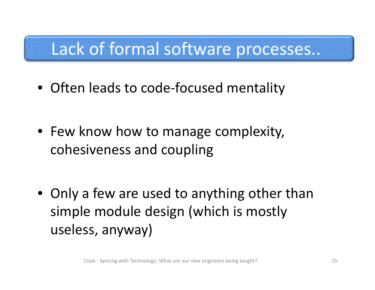#### Lack of formal software processes..

• Often leads to code‐focused mentality

• Few know how to manage complexity, cohesiveness and coupling

• Only <sup>a</sup> few are used to anything other than simple module design (which is mostly useless, anyway)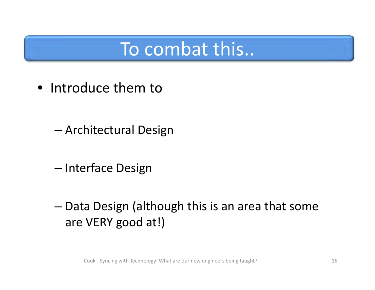# To combat this..

• Introduce them to

- Architectural Design
- –— Interface Design
- Data Design (although this is an area that some are VERY good at!)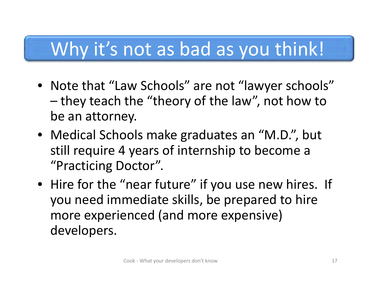# Why it's not as bad as you think!

- Note that "Law Schools" are not "lawyer schools" – they teach the "theory of the law", not how to be an attorney.
- Medical Schools make graduates an "M.D.", but still require 4 years of internship to become <sup>a</sup> "Practicing Doctor".
- Hire for the "near future" if you use new hires. If you need immediate skills, be prepared to hire more experienced (and more expensive) developers.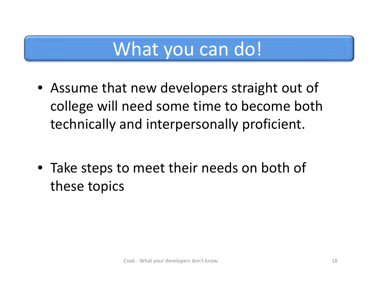# What you can do!

• Assume that new developers straight out of college will need some time to become both technically and interpersonally proficient.

• Take steps to meet their needs on both of these topics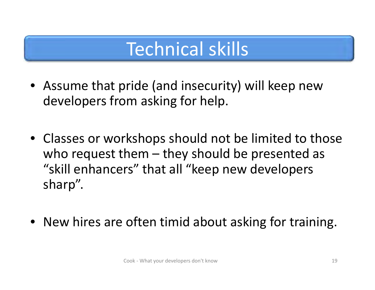# Technical skills

- Assume that pride (and insecurity) will keep new developers from asking for help.
- Classes or workshops should not be limited to those who request them – they should be presented as "skill enhancers" that all "keep new developers sharp".
- New hires are often timid about asking for training.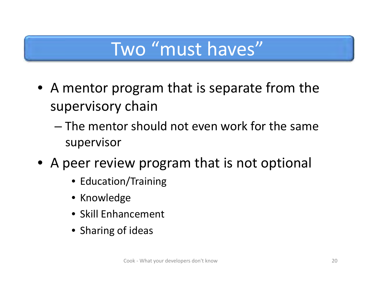# Two "must haves"

- A mentor program that is separate from the supervisory chain
	- The mentor should not even work for the same supervisor
- A peer review program that is not optional
	- Education/Training
	- Knowledge
	- Skill Enhancement
	- Sharing of ideas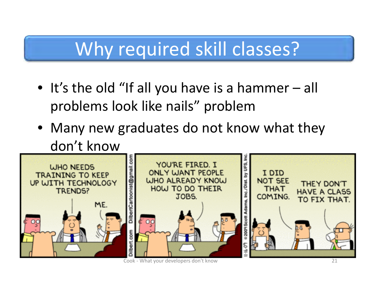# Why required skill classes?

- It's the old "If all you have is <sup>a</sup> hammer all problems look like nails" problem
- Many new graduates do not know what they don't know

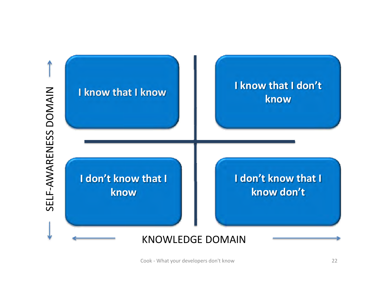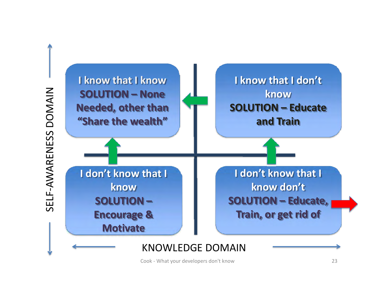

SELF-AWARENESS DOMAIN SELF‐AWARENESS DOMAIN

#### KNOWLEDGE DOMAIN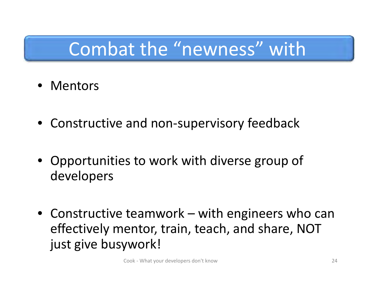# Combat the "newness" with

- Mentors
- Constructive and non‐supervisory feedback
- Opportunities to work with diverse group of developers
- Constructive teamwork with engineers who can effectively mentor, train, teach, and share, NOT just give busywork!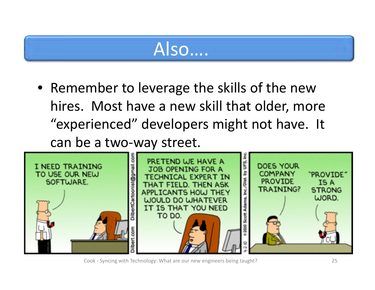# Also….

• Remember to leverage the skills of the new hires. Most have a new skill that older, more "experienced" developers might not have. It can be <sup>a</sup> two‐way street.



Cook ‐ Syncing with Technology: What are our new engineers being taught? 25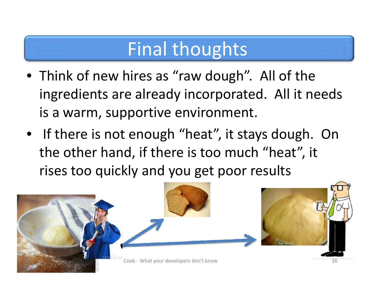# Final thoughts

- Think of new hires as "raw dough". All of the ingredients are already incorporated. All it needs is a warm, supportive environment.
- If there is not enough "heat", it stays dough. On the other hand, if there is too much "heat", it rises too quickly and you get poor results

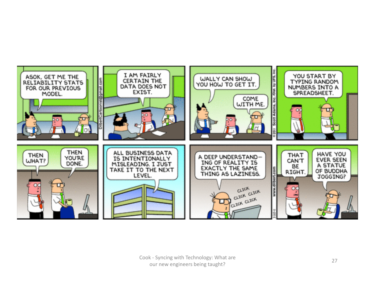